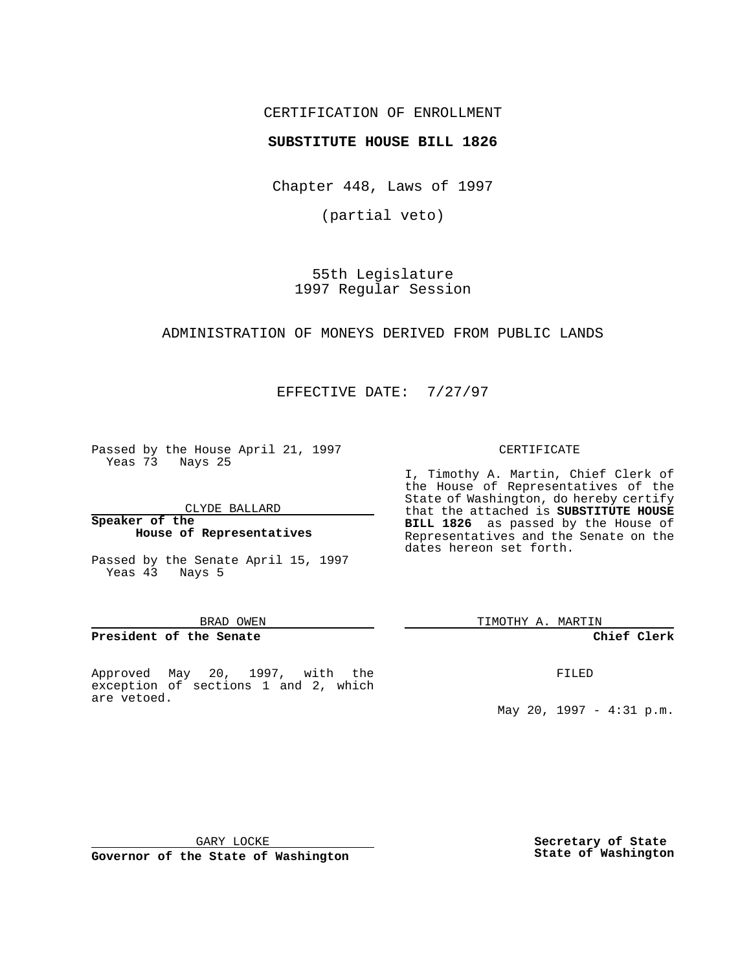## CERTIFICATION OF ENROLLMENT

## **SUBSTITUTE HOUSE BILL 1826**

Chapter 448, Laws of 1997

(partial veto)

55th Legislature 1997 Regular Session

### ADMINISTRATION OF MONEYS DERIVED FROM PUBLIC LANDS

EFFECTIVE DATE: 7/27/97

Passed by the House April 21, 1997 Yeas 73 Nays 25

CLYDE BALLARD

### **Speaker of the House of Representatives**

Passed by the Senate April 15, 1997 Yeas 43 Nays 5

#### BRAD OWEN

### **President of the Senate**

Approved May 20, 1997, with the exception of sections 1 and 2, which are vetoed.

#### CERTIFICATE

I, Timothy A. Martin, Chief Clerk of the House of Representatives of the State of Washington, do hereby certify that the attached is **SUBSTITUTE HOUSE BILL 1826** as passed by the House of Representatives and the Senate on the dates hereon set forth.

TIMOTHY A. MARTIN

## **Chief Clerk**

FILED

May 20, 1997 - 4:31 p.m.

GARY LOCKE

**Governor of the State of Washington**

**Secretary of State State of Washington**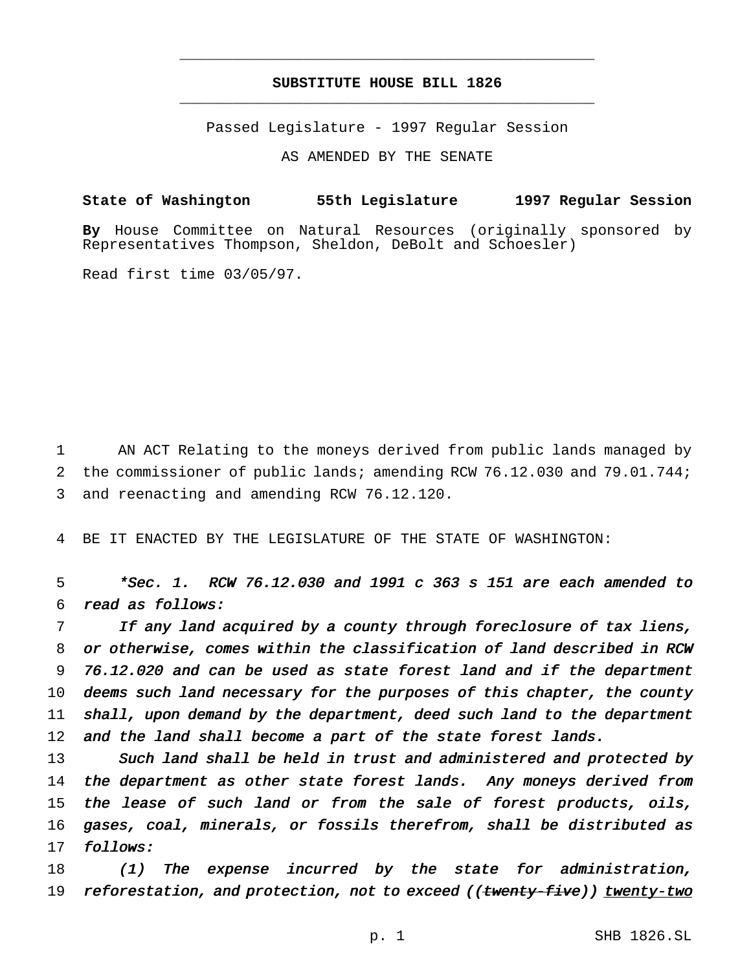# **SUBSTITUTE HOUSE BILL 1826** \_\_\_\_\_\_\_\_\_\_\_\_\_\_\_\_\_\_\_\_\_\_\_\_\_\_\_\_\_\_\_\_\_\_\_\_\_\_\_\_\_\_\_\_\_\_\_

\_\_\_\_\_\_\_\_\_\_\_\_\_\_\_\_\_\_\_\_\_\_\_\_\_\_\_\_\_\_\_\_\_\_\_\_\_\_\_\_\_\_\_\_\_\_\_

Passed Legislature - 1997 Regular Session

AS AMENDED BY THE SENATE

**State of Washington 55th Legislature 1997 Regular Session**

**By** House Committee on Natural Resources (originally sponsored by Representatives Thompson, Sheldon, DeBolt and Schoesler)

Read first time 03/05/97.

1 AN ACT Relating to the moneys derived from public lands managed by 2 the commissioner of public lands; amending RCW 76.12.030 and 79.01.744; 3 and reenacting and amending RCW 76.12.120.

4 BE IT ENACTED BY THE LEGISLATURE OF THE STATE OF WASHINGTON:

5 \*Sec. 1. RCW 76.12.030 and <sup>1991</sup> <sup>c</sup> <sup>363</sup> <sup>s</sup> <sup>151</sup> are each amended to 6 read as follows:

7 If any land acquired by <sup>a</sup> county through foreclosure of tax liens, 8 or otherwise, comes within the classification of land described in RCW 9 76.12.020 and can be used as state forest land and if the department 10 deems such land necessary for the purposes of this chapter, the county 11 shall, upon demand by the department, deed such land to the department 12 and the land shall become a part of the state forest lands.

13 Such land shall be held in trust and administered and protected by 14 the department as other state forest lands. Any moneys derived from 15 the lease of such land or from the sale of forest products, oils, 16 gases, coal, minerals, or fossils therefrom, shall be distributed as 17 follows:

18 (1) The expense incurred by the state for administration, 19 reforestation, and protection, not to exceed ((twenty-five)) twenty-two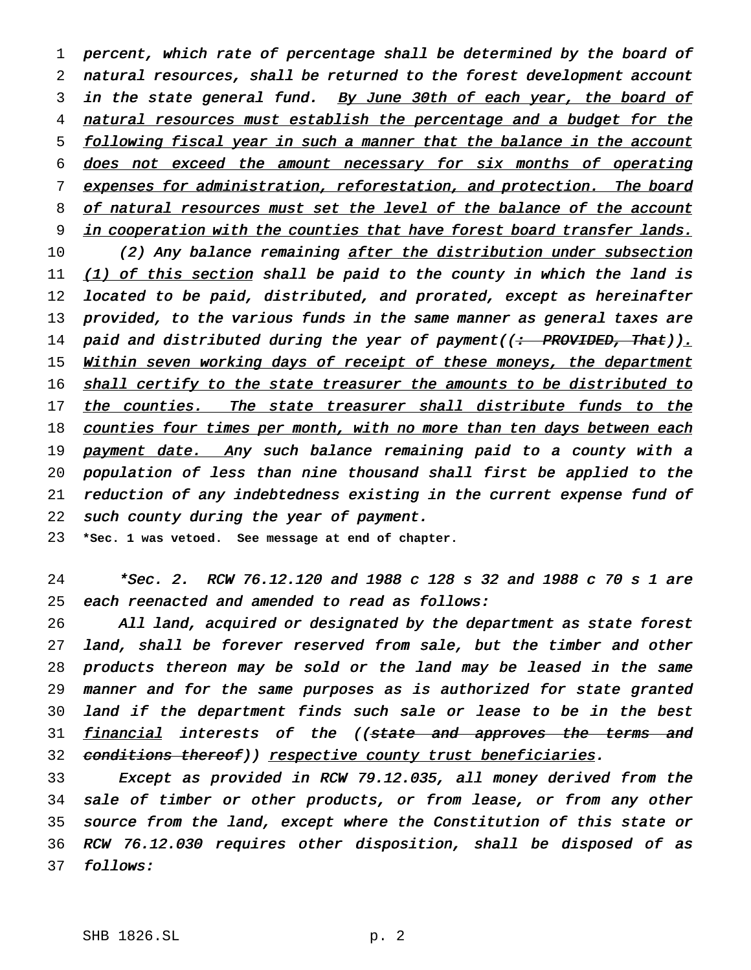1 percent, which rate of percentage shall be determined by the board of 2 natural resources, shall be returned to the forest development account 3 in the state general fund. By June 30th of each year, the board of 4 natural resources must establish the percentage and a budget for the 5 following fiscal year in such a manner that the balance in the account 6 does not exceed the amount necessary for six months of operating 7 expenses for administration, reforestation, and protection. The board 8 of natural resources must set the level of the balance of the account 9 in cooperation with the counties that have forest board transfer lands. 10 (2) Any balance remaining after the distribution under subsection 11 (1) of this section shall be paid to the county in which the land is 12 located to be paid, distributed, and prorated, except as hereinafter 13 provided, to the various funds in the same manner as general taxes are 14 paid and distributed during the year of payment((<del>: PROVIDED, That</del>))<u>.</u> 15 Within seven working days of receipt of these moneys, the department 16 shall certify to the state treasurer the amounts to be distributed to 17 the counties. The state treasurer shall distribute funds to the 18 counties four times per month, with no more than ten days between each 19 payment date. Any such balance remaining paid to a county with a 20 population of less than nine thousand shall first be applied to the 21 reduction of any indebtedness existing in the current expense fund of 22 such county during the year of payment.

23 **\*Sec. 1 was vetoed. See message at end of chapter.**

24 \*Sec. 2. RCW 76.12.120 and <sup>1988</sup> <sup>c</sup> <sup>128</sup> <sup>s</sup> <sup>32</sup> and <sup>1988</sup> <sup>c</sup> <sup>70</sup> <sup>s</sup> <sup>1</sup> are 25 each reenacted and amended to read as follows:

 All land, acquired or designated by the department as state forest land, shall be forever reserved from sale, but the timber and other products thereon may be sold or the land may be leased in the same manner and for the same purposes as is authorized for state granted land if the department finds such sale or lease to be in the best 31 financial interests of the ((state and approves the terms and 32 conditions thereof)) respective county trust beneficiaries.

 Except as provided in RCW 79.12.035, all money derived from the sale of timber or other products, or from lease, or from any other source from the land, except where the Constitution of this state or RCW 76.12.030 requires other disposition, shall be disposed of as 37 follows: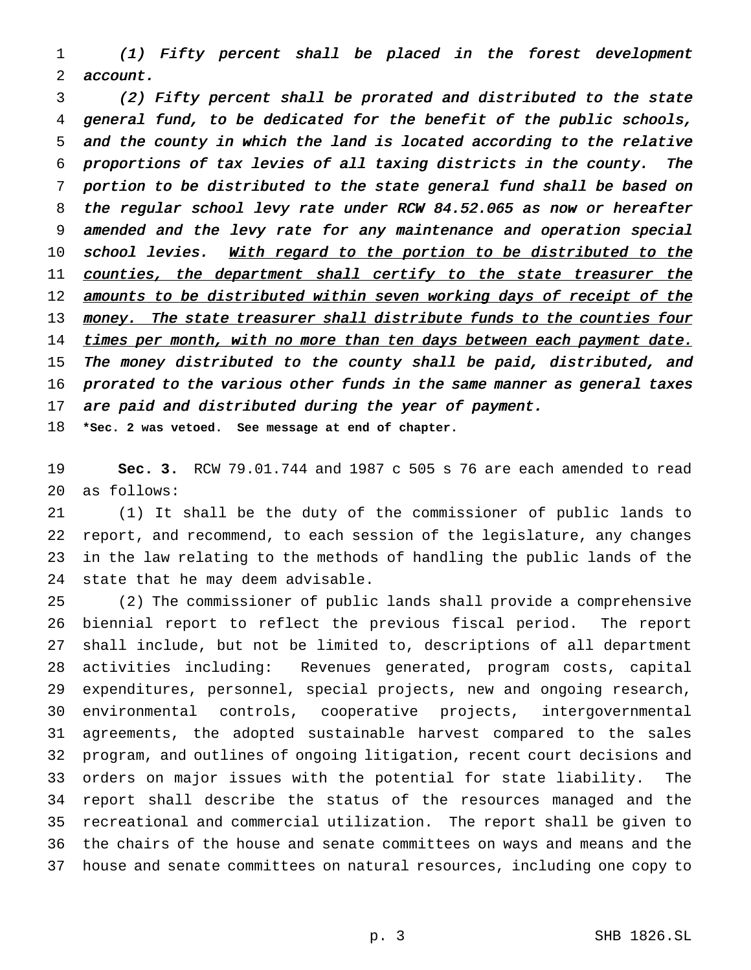(1) Fifty percent shall be placed in the forest development account.

 (2) Fifty percent shall be prorated and distributed to the state general fund, to be dedicated for the benefit of the public schools, and the county in which the land is located according to the relative proportions of tax levies of all taxing districts in the county. The portion to be distributed to the state general fund shall be based on the regular school levy rate under RCW 84.52.065 as now or hereafter amended and the levy rate for any maintenance and operation special 10 school levies. With regard to the portion to be distributed to the 11 counties, the department shall certify to the state treasurer the 12 amounts to be distributed within seven working days of receipt of the 13 money. The state treasurer shall distribute funds to the counties four 14 times per month, with no more than ten days between each payment date. The money distributed to the county shall be paid, distributed, and 16 prorated to the various other funds in the same manner as general taxes 17 are paid and distributed during the year of payment. **\*Sec. 2 was vetoed. See message at end of chapter.**

 **Sec. 3.** RCW 79.01.744 and 1987 c 505 s 76 are each amended to read as follows:

 (1) It shall be the duty of the commissioner of public lands to report, and recommend, to each session of the legislature, any changes in the law relating to the methods of handling the public lands of the state that he may deem advisable.

 (2) The commissioner of public lands shall provide a comprehensive biennial report to reflect the previous fiscal period. The report shall include, but not be limited to, descriptions of all department activities including: Revenues generated, program costs, capital expenditures, personnel, special projects, new and ongoing research, environmental controls, cooperative projects, intergovernmental agreements, the adopted sustainable harvest compared to the sales program, and outlines of ongoing litigation, recent court decisions and orders on major issues with the potential for state liability. The report shall describe the status of the resources managed and the recreational and commercial utilization. The report shall be given to the chairs of the house and senate committees on ways and means and the house and senate committees on natural resources, including one copy to